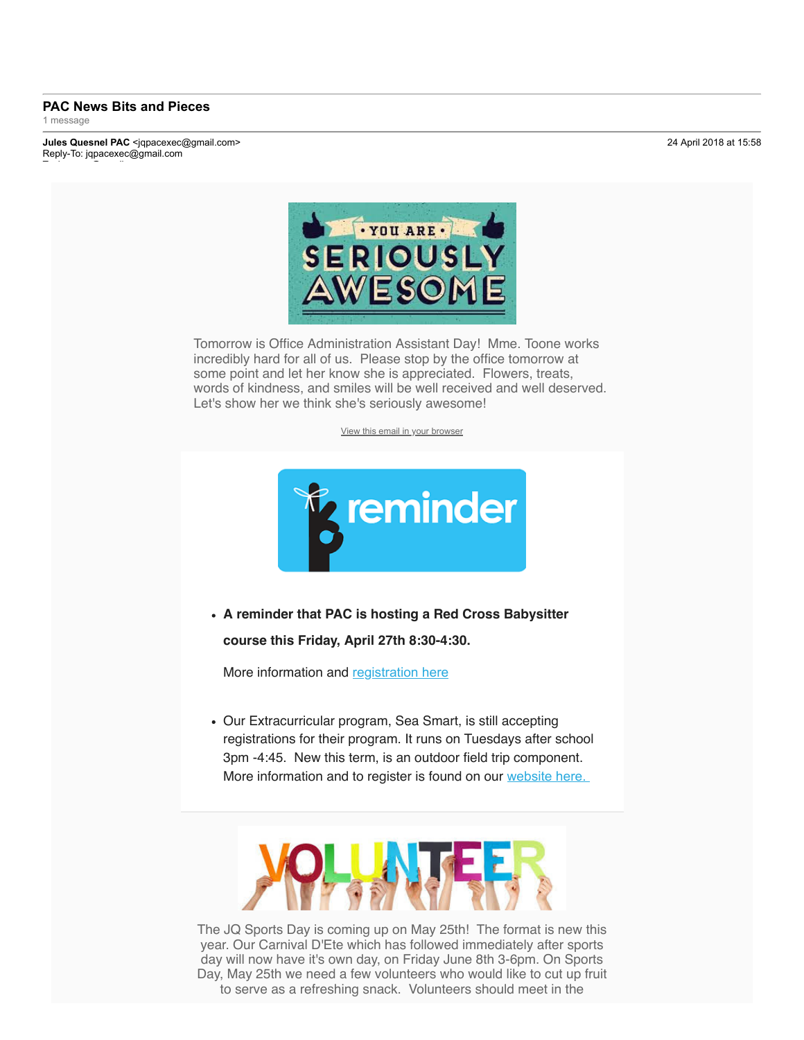## **PAC News Bits and Pieces** 1 message

**Jules Quesnel PAC** <jqpacexec@gmail.com> 24 April 2018 at 15:58 Reply-To: jqpacexec@gmail.com



Tomorrow is Office Administration Assistant Day! Mme. Toone works incredibly hard for all of us. Please stop by the office tomorrow at some point and let her know she is appreciated. Flowers, treats, words of kindness, and smiles will be well received and well deserved. Let's show her we think she's seriously awesome!

View this email in your browser



**A reminder that PAC is hosting a Red Cross Babysitter course this Friday, April 27th 8:30-4:30.**

More information and registration here

Our Extracurricular program, Sea Smart, is still accepting registrations for their program. It runs on Tuesdays after school 3pm -4:45. New this term, is an outdoor field trip component. More information and to register is found on our website here.



The JQ Sports Day is coming up on May 25th! The format is new this year. Our Carnival D'Ete which has followed immediately after sports day will now have it's own day, on Friday June 8th 3-6pm. On Sports Day, May 25th we need a few volunteers who would like to cut up fruit to serve as a refreshing snack. Volunteers should meet in the